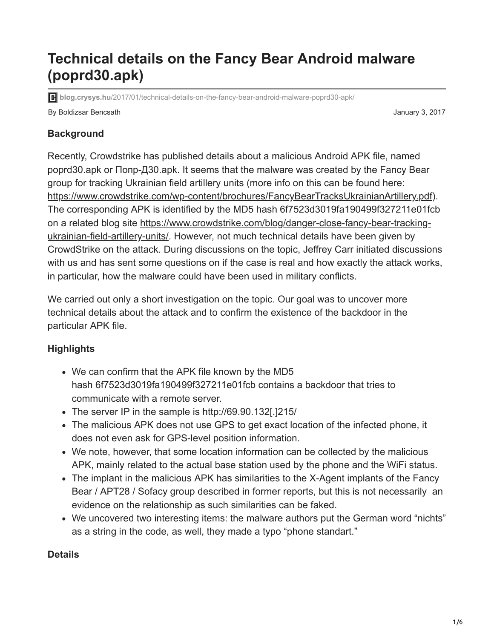# **Technical details on the Fancy Bear Android malware (poprd30.apk)**

**blog.crysys.hu**[/2017/01/technical-details-on-the-fancy-bear-android-malware-poprd30-apk/](http://blog.crysys.hu/2017/01/technical-details-on-the-fancy-bear-android-malware-poprd30-apk/)

By Boldizsar Bencsath January 3, 2017

# **Background**

Recently, Crowdstrike has published details about a malicious Android APK file, named poprd30.apk or Попр-Д30.apk. It seems that the malware was created by the Fancy Bear group for tracking Ukrainian field artillery units (more info on this can be found here: [https://www.crowdstrike.com/wp-content/brochures/FancyBearTracksUkrainianArtillery.pdf\)](https://www.crowdstrike.com/wp-content/brochures/FancyBearTracksUkrainianArtillery.pdf). The corresponding APK is identified by the MD5 hash 6f7523d3019fa190499f327211e01fcb [on a related blog site https://www.crowdstrike.com/blog/danger-close-fancy-bear-tracking](https://www.crowdstrike.com/blog/danger-close-fancy-bear-tracking-ukrainian-field-artillery-units/)ukrainian-field-artillery-units/. However, not much technical details have been given by CrowdStrike on the attack. During discussions on the topic, Jeffrey Carr initiated discussions with us and has sent some questions on if the case is real and how exactly the attack works, in particular, how the malware could have been used in military conflicts.

We carried out only a short investigation on the topic. Our goal was to uncover more technical details about the attack and to confirm the existence of the backdoor in the particular APK file.

# **Highlights**

- We can confirm that the APK file known by the MD5 hash 6f7523d3019fa190499f327211e01fcb contains a backdoor that tries to communicate with a remote server.
- The server IP in the sample is http://69.90.132[.]215/
- The malicious APK does not use GPS to get exact location of the infected phone, it does not even ask for GPS-level position information.
- We note, however, that some location information can be collected by the malicious APK, mainly related to the actual base station used by the phone and the WiFi status.
- The implant in the malicious APK has similarities to the X-Agent implants of the Fancy Bear / APT28 / Sofacy group described in former reports, but this is not necessarily an evidence on the relationship as such similarities can be faked.
- We uncovered two interesting items: the malware authors put the German word "nichts" as a string in the code, as well, they made a typo "phone standart."

# **Details**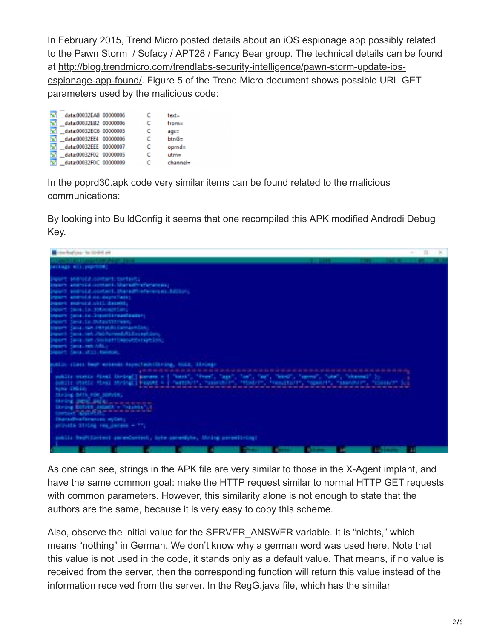In February 2015, Trend Micro posted details about an iOS espionage app possibly related to the Pawn Storm / Sofacy / APT28 / Fancy Bear group. The technical details can be found at http://blog.trendmicro.com/trendlabs-security-intelligence/pawn-storm-update-ios[espionage-app-found/. Figure 5 of the Trend Micro document shows possible URL G](http://blog.trendmicro.com/trendlabs-security-intelligence/pawn-storm-update-ios-espionage-app-found/)ET parameters used by the malicious code:

| data:00032EA8 00000006 |  | $text =$  |
|------------------------|--|-----------|
| data:00032EB2 00000006 |  | $from =$  |
| data:00032EC6 00000005 |  | $aqs =$   |
| data:00032EE4 00000006 |  | $btnG=$   |
| data:00032EEE 00000007 |  | $oprnd =$ |
| data:00032F02 00000005 |  | $utm=$    |
| data:00032F0C 00000009 |  | channel=  |

In the poprd30.apk code very similar items can be found related to the malicious communications:

By looking into BuildConfig it seems that one recompiled this APK modified Androdi Debug Key.



As one can see, strings in the APK file are very similar to those in the X-Agent implant, and have the same common goal: make the HTTP request similar to normal HTTP GET requests with common parameters. However, this similarity alone is not enough to state that the authors are the same, because it is very easy to copy this scheme.

Also, observe the initial value for the SERVER\_ANSWER variable. It is "nichts," which means "nothing" in German. We don't know why a german word was used here. Note that this value is not used in the code, it stands only as a default value. That means, if no value is received from the server, then the corresponding function will return this value instead of the information received from the server. In the RegG.java file, which has the similar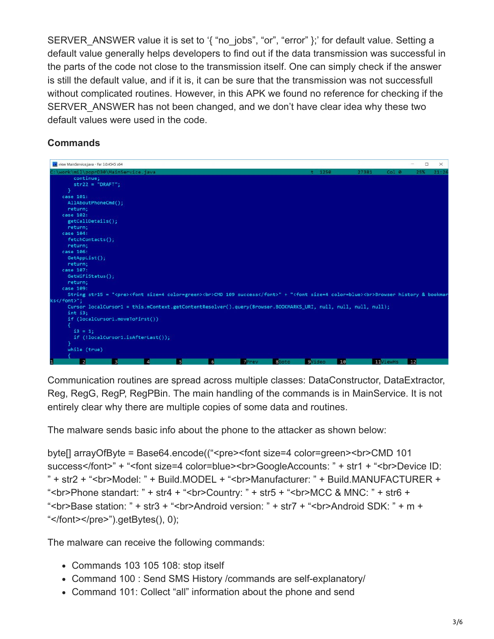SERVER ANSWER value it is set to '{ "no \_jobs", "or", "error" };' for default value. Setting a default value generally helps developers to find out if the data transmission was successful in the parts of the code not close to the transmission itself. One can simply check if the answer is still the default value, and if it is, it can be sure that the transmission was not successfull without complicated routines. However, in this APK we found no reference for checking if the SERVER ANSWER has not been changed, and we don't have clear idea why these two default values were used in the code.

### **Commands**

|   | Le view MainService.java - Far 3.0.4545 x64 |                                      |   |   |   |                                                                                                                                                                                                                      |              |                |       |                  | □   | $\times$ |
|---|---------------------------------------------|--------------------------------------|---|---|---|----------------------------------------------------------------------------------------------------------------------------------------------------------------------------------------------------------------------|--------------|----------------|-------|------------------|-----|----------|
|   |                                             | C:\work\mil\poprD30\MainService.java |   |   |   |                                                                                                                                                                                                                      |              | $t$ 1250       | 27381 | Col <sub>0</sub> | 25% | 21:26    |
|   | continue;                                   |                                      |   |   |   |                                                                                                                                                                                                                      |              |                |       |                  |     |          |
|   | $str22 = "DRAFT";$                          |                                      |   |   |   |                                                                                                                                                                                                                      |              |                |       |                  |     |          |
|   |                                             |                                      |   |   |   |                                                                                                                                                                                                                      |              |                |       |                  |     |          |
|   | case 101:                                   |                                      |   |   |   |                                                                                                                                                                                                                      |              |                |       |                  |     |          |
|   | AllAboutPhoneCmd();                         |                                      |   |   |   |                                                                                                                                                                                                                      |              |                |       |                  |     |          |
|   | return;                                     |                                      |   |   |   |                                                                                                                                                                                                                      |              |                |       |                  |     |          |
|   | case 102:                                   |                                      |   |   |   |                                                                                                                                                                                                                      |              |                |       |                  |     |          |
|   | getCallDetails();                           |                                      |   |   |   |                                                                                                                                                                                                                      |              |                |       |                  |     |          |
|   | return;                                     |                                      |   |   |   |                                                                                                                                                                                                                      |              |                |       |                  |     |          |
|   | case 104:                                   |                                      |   |   |   |                                                                                                                                                                                                                      |              |                |       |                  |     |          |
|   | fetchContacts();                            |                                      |   |   |   |                                                                                                                                                                                                                      |              |                |       |                  |     |          |
|   | return;                                     |                                      |   |   |   |                                                                                                                                                                                                                      |              |                |       |                  |     |          |
|   | case 106:                                   |                                      |   |   |   |                                                                                                                                                                                                                      |              |                |       |                  |     |          |
|   | GetAppList();                               |                                      |   |   |   |                                                                                                                                                                                                                      |              |                |       |                  |     |          |
|   | return;                                     |                                      |   |   |   |                                                                                                                                                                                                                      |              |                |       |                  |     |          |
|   | case 107:                                   |                                      |   |   |   |                                                                                                                                                                                                                      |              |                |       |                  |     |          |
|   | GetWiFiStatus();                            |                                      |   |   |   |                                                                                                                                                                                                                      |              |                |       |                  |     |          |
|   | return;                                     |                                      |   |   |   |                                                                                                                                                                                                                      |              |                |       |                  |     |          |
|   | case 109:                                   |                                      |   |   |   |                                                                                                                                                                                                                      |              |                |       |                  |     |          |
|   | ks";                                        |                                      |   |   |   | String str15 = " <pre><font color="green" size="4"><br/>&lt;&gt;&gt;&gt;&gt;<md 109="" font="" success<="">" + "<font color="blue" size="4"><br/>&gt;<br/>&gt;browser history &amp; bookmar</font></md></font></pre> |              |                |       |                  |     |          |
|   |                                             |                                      |   |   |   | Cursor localCursor1 = this.mContext.getContentResolver().query(Browser.BOOKMARKS_URI, null, null, null, null);                                                                                                       |              |                |       |                  |     |          |
|   | $int$ $i3$ ;                                |                                      |   |   |   |                                                                                                                                                                                                                      |              |                |       |                  |     |          |
|   |                                             | if (localCursor1.moveToFirst())      |   |   |   |                                                                                                                                                                                                                      |              |                |       |                  |     |          |
|   |                                             |                                      |   |   |   |                                                                                                                                                                                                                      |              |                |       |                  |     |          |
|   | $i3 = 1$ ;                                  |                                      |   |   |   |                                                                                                                                                                                                                      |              |                |       |                  |     |          |
|   |                                             | if (!localCursor1.isAfterLast());    |   |   |   |                                                                                                                                                                                                                      |              |                |       |                  |     |          |
|   |                                             |                                      |   |   |   |                                                                                                                                                                                                                      |              |                |       |                  |     |          |
|   | while (true)                                |                                      |   |   |   |                                                                                                                                                                                                                      |              |                |       |                  |     |          |
|   |                                             |                                      |   |   |   |                                                                                                                                                                                                                      |              |                |       |                  |     |          |
| 1 | 12                                          | 3                                    | 4 | 5 | 6 | <b>D</b> Prev                                                                                                                                                                                                        | <b>BGoto</b> | <b>g</b> Video | 10    | <b>HIViewHs</b>  | 12  |          |

Communication routines are spread across multiple classes: DataConstructor, DataExtractor, Reg, RegG, RegP, RegPBin. The main handling of the commands is in MainService. It is not entirely clear why there are multiple copies of some data and routines.

The malware sends basic info about the phone to the attacker as shown below:

byte[] arrayOfByte = Base64.encode(("<pre><font size=4 color=green><br>CMD 101 success</font>" + "<font size=4 color=blue><br>GoogleAccounts: " + str1 + "<br>>br>Device ID: " + str2 + "<br>Model: " + Build.MODEL + "<br >Manufacturer: " + Build.MANUFACTURER + "<br>Phone standart: " + str4 + "<br>Country: " + str5 + "<br>MCC & MNC: " + str6 + "<br>Base station: " + str3 + "<br>Android version: " + str7 + "<br>Android SDK: " + m + " $\le$ /font $\ge$ /pre $\ge$ ").getBytes(), 0);

The malware can receive the following commands:

- Commands 103 105 108: stop itself
- Command 100 : Send SMS History /commands are self-explanatory/
- Command 101: Collect "all" information about the phone and send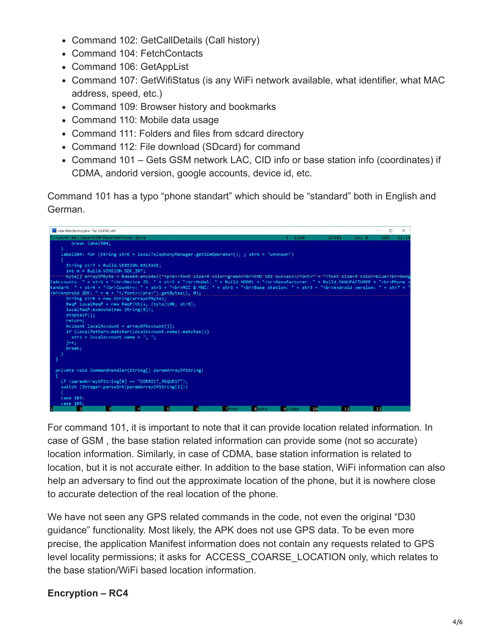- Command 102: GetCallDetails (Call history)
- Command 104: FetchContacts
- Command 106: GetAppList
- Command 107: GetWifiStatus (is any WiFi network available, what identifier, what MAC address, speed, etc.)
- Command 109: Browser history and bookmarks
- Command 110: Mobile data usage
- Command 111: Folders and files from sdcard directory
- Command 112: File download (SDcard) for command
- Command 101 Gets GSM network LAC, CID info or base station info (coordinates) if CDMA, andorid version, google accounts, device id, etc.

Command 101 has a typo "phone standart" which should be "standard" both in English and German.



For command 101, it is important to note that it can provide location related information. In case of GSM , the base station related information can provide some (not so accurate) location information. Similarly, in case of CDMA, base station information is related to location, but it is not accurate either. In addition to the base station, WiFi information can also help an adversary to find out the approximate location of the phone, but it is nowhere close to accurate detection of the real location of the phone.

We have not seen any GPS related commands in the code, not even the original "D30 guidance" functionality. Most likely, the APK does not use GPS data. To be even more precise, the application Manifest information does not contain any requests related to GPS level locality permissions; it asks for ACCESS\_COARSE\_LOCATION only, which relates to the base station/WiFi based location information.

#### **Encryption – RC4**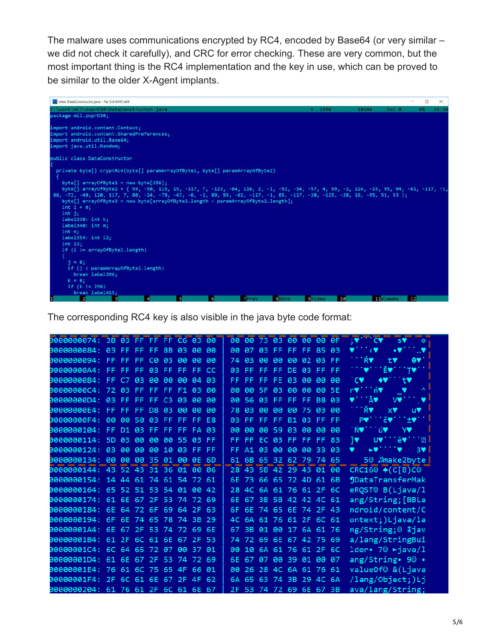The malware uses communications encrypted by RC4, encoded by Base64 (or very similar – we did not check it carefully), and CRC for error checking. These are very common, but the most important thing is the RC4 implementation and the key in use, which can be proved to be similar to the older X-Agent implants.



The corresponding RC4 key is also visible in the java byte code format:

| 3000000074: 3B 03 FF FF FF C6 03 00 |  |  |    |           |                |           | 00 00 73 03 00 00 00 0F |                      |                   |             |       | <b>EXAMPLE OF</b><br>sV<br><b>卷</b>                               |
|-------------------------------------|--|--|----|-----------|----------------|-----------|-------------------------|----------------------|-------------------|-------------|-------|-------------------------------------------------------------------|
| 3000000084: 03 FF FF FF 8B 03       |  |  |    | <b>PO</b> | <b>PO</b>      | 90.       |                         | 07 03 FF FF FF 85 03 |                   |             |       | ٠v<br>₹V<br>…♥                                                    |
| 3000000094: FF FF FF C0 03 00       |  |  |    | 80        | <b>PO</b>      | 74        | 03                      |                      | 00 00             | 00 02 03 FF |       | Ŕ₩<br>$\Theta \blacklozenge \blacklozenge$<br>t۷                  |
| 90000000A4: FF FF FF 03 FF FF FF    |  |  |    |           | <b>CC</b>      | 03        | FF.                     |                      | FF FF DE 03 FF FF |             |       | <b>TO</b><br>Ě♥<br>TV.                                            |
| 30000000B4: FF C7 03 00 00 00       |  |  |    | 04 03     |                |           | FF FF FF FE 03 00 00 00 |                      |                   |             |       | $\cdot$ CV<br>◆♥<br>tV                                            |
| 90000000C4: 72 03 FF FF FF F1 03    |  |  |    |           | <b>BB</b>      | <b>BB</b> |                         | 00 5F 03 00 00       |                   |             | 00 5E | ń۷<br>v<br>$\Lambda$<br>r۷                                        |
| 30000000D4: 03 FF FF FF C3          |  |  | 83 | <b>PA</b> | <b>BB</b>      | <b>BB</b> | 56                      |                      | 03 FF FF FF B8 03 |             |       | ĂV<br>V.<br>v                                                     |
| 30000000E4: FF FF FF D8 03 00       |  |  |    | <b>PO</b> | <b>P</b>       | 78        | 93                      | <b>PO</b>            | <b>PO</b>         | 00 75 03 00 |       | ŘV<br>x♥<br><b>UV</b>                                             |
| 30000000F4: 00 00 50 03 FF FF       |  |  |    | FF.       | E <sub>8</sub> | 03        |                         | FF FF FF B1 03 FF FF |                   |             |       | ±v**<br>ič♥1<br>P♥'                                               |
| 0000000104: FF D1 03 FF FF FF       |  |  |    | <b>FA</b> | 03             | 90        | 99                      |                      | 00 59 03 00       |             | 00 00 | ≟ú♥<br>' ŃV<br><b>YV</b>                                          |
| 0000000114: 5D 03 00 00 00 55       |  |  |    | 03        | FF.            | FF        | FF.                     |                      | EC 03 FF FF FF 83 |             |       | $\overline{B}$<br>1♥<br>ě♥<br><b>UV</b>                           |
| 3000000124: 03 00 00 00 10 03 FF    |  |  |    |           | -FF.           | FF.       |                         | A1 03 00             |                   | 88 88       | 33 03 | v<br>$3$ $\blacktriangleright$ $\blacktriangleright$<br><b>LV</b> |
| 0000000134: 00 00 00 35 01 00 0E    |  |  |    |           | 6D             |           | 61 6B 65 32 62 79 74 65 |                      |                   |             |       | 50 Jmake2byte                                                     |
| 0000000144: 43 52 43 31 36 01 00 06 |  |  |    |           |                |           | 28 43 5B 42 29 43 01 00 |                      |                   |             |       | $CRC16°$ $\bullet$ $(C[B)C°$                                      |
| 0000000154: 14 44 61 74 61 54 72 61 |  |  |    |           |                | 6E        |                         | 73 66 65             |                   | 72 4D 61 6B |       | <b>JDataTransferMak</b>                                           |
| 0000000164: 65 52 51 53 54 01 00 42 |  |  |    |           |                |           | 28 4C 6A 61 76 61 2F 6C |                      |                   |             |       | eRQSTO B(Ljava/1                                                  |
| 0000000174: 61 6E 67 2F 53 74 72 69 |  |  |    |           |                | 6E        |                         | 67 3B 5B 42 42 4C 61 |                   |             |       | ang/String; [BBLa                                                 |
| 0000000184: 6E 64 72 6F 69 64 2F 63 |  |  |    |           |                | 6F        |                         | 6E 74 65 6E 74 2F 43 |                   |             |       | ndroid/content/C                                                  |
| 0000000194: 6F 6E 74 65 78 74 3B    |  |  |    |           | -29            | 4C        |                         | 6A 61 76 61 2F 6C 61 |                   |             |       | ontext;)Ljava/la                                                  |
| 00000001A4: 6E 67 2F 53 74 72 69 6E |  |  |    |           |                | 67        | 3B                      |                      | 01 00 17 6A 61 76 |             |       | ng/String; <sup>©</sup> <i>l</i> jav                              |
| 00000001B4: 61 2F 6C 61 6E 67 2F 53 |  |  |    |           |                |           | 74 72 69 6E 67 42 75 69 |                      |                   |             |       | a/lang/StringBui                                                  |
| 80000001C4: 6C 64 65 72 07 00       |  |  |    | 37 01     |                | <b>BB</b> | 10                      |                      | 6A 61 76 61 2F 6C |             |       | 1der. 70 $\rightarrow$ java/1                                     |
| 00000001D4: 61 6E 67 2F 53 74 72 69 |  |  |    |           |                | 6E.       |                         | 67 07                | - 00              | 39 01 00 07 |       | ang/String• 90 •                                                  |
| 00000001E4: 76 61 6C 75 65 4F 66    |  |  |    |           | 01             | 90        | 26                      |                      | 28 4C             | 6A 61 76 61 |       | valueOf <sup>®</sup> & (Ljava                                     |
| 00000001F4: 2F 6C 61 6E 67 2F       |  |  |    | 4F        | 62             | 6A        | 65                      |                      | 63 74             | 3B 29 4C 6A |       | /lang/Object;)Lj                                                  |
| 0000000204: 61 76 61 2F 6C 61 6E 67 |  |  |    |           |                | 2F        |                         | 53 74 72 69 6E 67 3B |                   |             |       | ava/lang/String;                                                  |